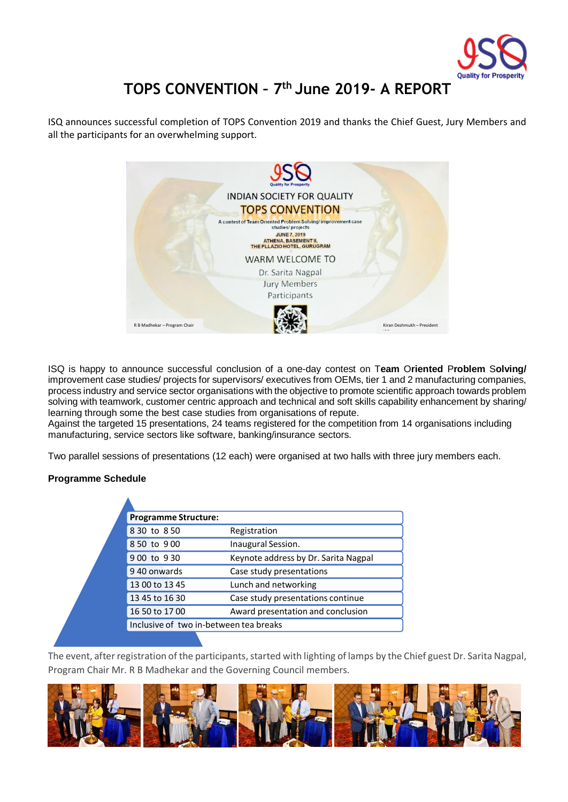

# **TOPS CONVENTION – 7 th June 2019- A REPORT**

ISQ announces successful completion of TOPS Convention 2019 and thanks the Chief Guest, Jury Members and all the participants for an overwhelming support.



ISQ is happy to announce successful conclusion of a one-day contest on T**eam** O**riented** P**roblem** S**olving/**  improvement case studies/ projects for supervisors/ executives from OEMs, tier 1 and 2 manufacturing companies, process industry and service sector organisations with the objective to promote scientific approach towards problem solving with teamwork, customer centric approach and technical and soft skills capability enhancement by sharing/ learning through some the best case studies from organisations of repute.

Against the targeted 15 presentations, 24 teams registered for the competition from 14 organisations including manufacturing, service sectors like software, banking/insurance sectors.

Two parallel sessions of presentations (12 each) were organised at two halls with three jury members each.

#### **Programme Schedule**

Δ

|  | <b>Programme Structure:</b>            |                                      |
|--|----------------------------------------|--------------------------------------|
|  | 8 30 to 8 50                           | Registration                         |
|  | 8 50 to 900                            | Inaugural Session.                   |
|  | 900 to 930                             | Keynote address by Dr. Sarita Nagpal |
|  | 940 onwards                            | Case study presentations             |
|  | 13 00 to 13 45                         | Lunch and networking                 |
|  | 13 45 to 16 30                         | Case study presentations continue    |
|  | 16 50 to 17 00                         | Award presentation and conclusion    |
|  | Inclusive of two in-between tea breaks |                                      |
|  |                                        |                                      |

The event, after registration of the participants, started with lighting of lamps by the Chief guest Dr. Sarita Nagpal, Program Chair Mr. R B Madhekar and the Governing Council members.

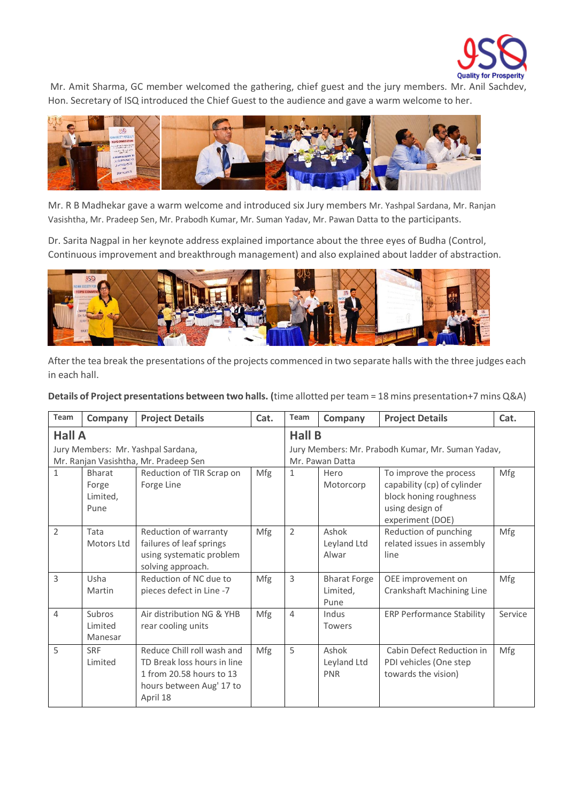

Mr. Amit Sharma, GC member welcomed the gathering, chief guest and the jury members. Mr. Anil Sachdev, Hon. Secretary of ISQ introduced the Chief Guest to the audience and gave a warm welcome to her.



Mr. R B Madhekar gave a warm welcome and introduced six Jury members Mr. Yashpal Sardana, Mr. Ranjan Vasishtha, Mr. Pradeep Sen, Mr. Prabodh Kumar, Mr. Suman Yadav, Mr. Pawan Datta to the participants.

Dr. Sarita Nagpal in her keynote address explained importance about the three eyes of Budha (Control, Continuous improvement and breakthrough management) and also explained about ladder of abstraction.



After the tea break the presentations of the projects commenced in two separate halls with the three judges each in each hall.

#### **Details of Project presentations between two halls. (**time allotted per team = 18 mins presentation+7 mins Q&A)

| Team                               | Company       | <b>Project Details</b>                | Cat.          | Team                                              | Company             | <b>Project Details</b>           | Cat.    |
|------------------------------------|---------------|---------------------------------------|---------------|---------------------------------------------------|---------------------|----------------------------------|---------|
| <b>Hall A</b>                      |               |                                       | <b>Hall B</b> |                                                   |                     |                                  |         |
| Jury Members: Mr. Yashpal Sardana, |               |                                       |               | Jury Members: Mr. Prabodh Kumar, Mr. Suman Yadav, |                     |                                  |         |
|                                    |               | Mr. Ranjan Vasishtha, Mr. Pradeep Sen |               | Mr. Pawan Datta                                   |                     |                                  |         |
| $\mathbf{1}$                       | <b>Bharat</b> | Reduction of TIR Scrap on             | Mfg           | $\mathbf{1}$                                      | Hero                | To improve the process           | Mfg     |
|                                    | Forge         | Forge Line                            |               |                                                   | Motorcorp           | capability (cp) of cylinder      |         |
|                                    | Limited,      |                                       |               |                                                   |                     | block honing roughness           |         |
|                                    | Pune          |                                       |               |                                                   |                     | using design of                  |         |
|                                    |               |                                       |               |                                                   |                     | experiment (DOE)                 |         |
| $\overline{2}$                     | Tata          | Reduction of warranty                 | Mfg           | $\overline{2}$                                    | Ashok               | Reduction of punching            | Mfg     |
|                                    | Motors Ltd    | failures of leaf springs              |               |                                                   | Leyland Ltd         | related issues in assembly       |         |
|                                    |               | using systematic problem              |               |                                                   | Alwar               | line                             |         |
|                                    |               | solving approach.                     |               |                                                   |                     |                                  |         |
| 3                                  | Usha          | Reduction of NC due to                | Mfg           | 3                                                 | <b>Bharat Forge</b> | OEE improvement on               | Mfg     |
|                                    | Martin        | pieces defect in Line -7              |               |                                                   | Limited,            | Crankshaft Machining Line        |         |
|                                    |               |                                       |               |                                                   | Pune                |                                  |         |
| $\overline{4}$                     | Subros        | Air distribution NG & YHB             | Mfg           | $\overline{4}$                                    | Indus               | <b>ERP Performance Stability</b> | Service |
|                                    | Limited       | rear cooling units                    |               |                                                   | Towers              |                                  |         |
|                                    | Manesar       |                                       |               |                                                   |                     |                                  |         |
| 5                                  | <b>SRF</b>    | Reduce Chill roll wash and            | Mfg           | 5                                                 | Ashok               | Cabin Defect Reduction in        | Mfg     |
|                                    | Limited       | TD Break loss hours in line           |               |                                                   | Leyland Ltd         | PDI vehicles (One step           |         |
|                                    |               | 1 from 20.58 hours to 13              |               |                                                   | PNR                 | towards the vision)              |         |
|                                    |               | hours between Aug' 17 to              |               |                                                   |                     |                                  |         |
|                                    |               | April 18                              |               |                                                   |                     |                                  |         |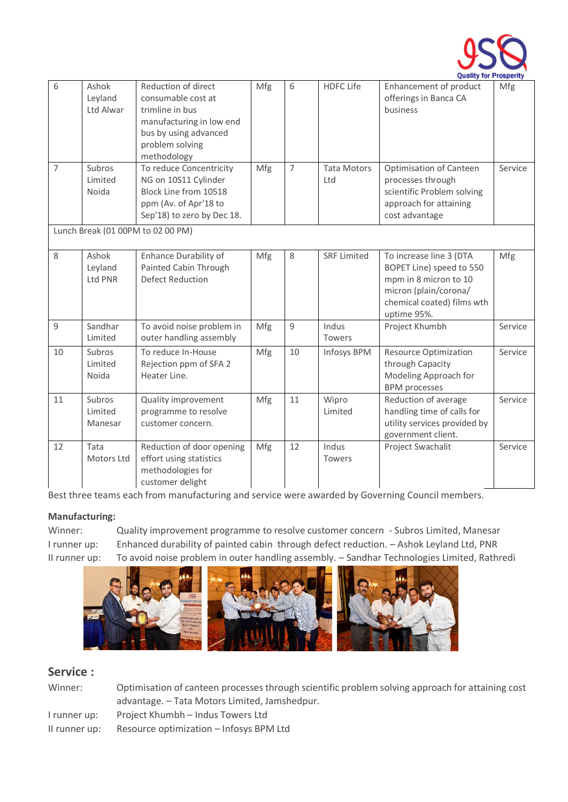

|                |                               |                                                                                                                                                     |     |                |                           | Quality for Prosperity                                                                                                                             |         |
|----------------|-------------------------------|-----------------------------------------------------------------------------------------------------------------------------------------------------|-----|----------------|---------------------------|----------------------------------------------------------------------------------------------------------------------------------------------------|---------|
| 6              | Ashok<br>Leyland<br>Ltd Alwar | Reduction of direct<br>consumable cost at<br>trimline in bus<br>manufacturing in low end<br>bus by using advanced<br>problem solving<br>methodology | Mfg | 6              | <b>HDFC Life</b>          | Enhancement of product<br>offerings in Banca CA<br>business                                                                                        | Mfg     |
| $\overline{7}$ | Subros<br>Limited<br>Noida    | To reduce Concentricity<br>NG on 10S11 Cylinder<br>Block Line from 10518<br>ppm (Av. of Apr'18 to<br>Sep'18) to zero by Dec 18.                     | Mfg | $\overline{7}$ | <b>Tata Motors</b><br>Ltd | <b>Optimisation of Canteen</b><br>processes through<br>scientific Problem solving<br>approach for attaining<br>cost advantage                      | Service |
|                |                               | Lunch Break (01 00PM to 02 00 PM)                                                                                                                   |     |                |                           |                                                                                                                                                    |         |
| 8              | Ashok<br>Leyland<br>Ltd PNR   | <b>Enhance Durability of</b><br>Painted Cabin Through<br><b>Defect Reduction</b>                                                                    | Mfg | 8              | <b>SRF Limited</b>        | To increase line 3 (DTA<br>BOPET Line) speed to 550<br>mpm in 8 micron to 10<br>micron (plain/corona/<br>chemical coated) films wth<br>uptime 95%. | Mfg     |
| $\mathsf g$    | Sandhar<br>Limited            | To avoid noise problem in<br>outer handling assembly                                                                                                | Mfg | 9              | Indus<br><b>Towers</b>    | Project Khumbh                                                                                                                                     | Service |
| 10             | Subros<br>Limited<br>Noida    | To reduce In-House<br>Rejection ppm of SFA 2<br>Heater Line.                                                                                        | Mfg | 10             | Infosys BPM               | <b>Resource Optimization</b><br>through Capacity<br>Modeling Approach for<br><b>BPM</b> processes                                                  | Service |
| 11             | Subros<br>Limited<br>Manesar  | Quality improvement<br>programme to resolve<br>customer concern.                                                                                    | Mfg | 11             | Wipro<br>Limited          | Reduction of average<br>handling time of calls for<br>utility services provided by<br>government client.                                           | Service |
| 12             | Tata<br>Motors Ltd            | Reduction of door opening<br>effort using statistics<br>methodologies for<br>customer delight                                                       | Mfg | 12             | Indus<br><b>Towers</b>    | Project Swachalit                                                                                                                                  | Service |

Best three teams each from manufacturing and service were awarded by Governing Council members.

# **Manufacturing:**

Winner: Quality improvement programme to resolve customer concern - Subros Limited, Manesar I runner up: Enhanced durability of painted cabin through defect reduction. – Ashok Leyland Ltd, PNR II runner up: To avoid noise problem in outer handling assembly. – Sandhar Technologies Limited, Rathredi



## **Service :**

| Winner: | Optimisation of canteen processes through scientific problem solving approach for attaining cost |
|---------|--------------------------------------------------------------------------------------------------|
|         | advantage. – Tata Motors Limited, Jamshedpur.                                                    |
|         |                                                                                                  |

I runner up: Project Khumbh – Indus Towers Ltd

II runner up: Resource optimization – Infosys BPM Ltd